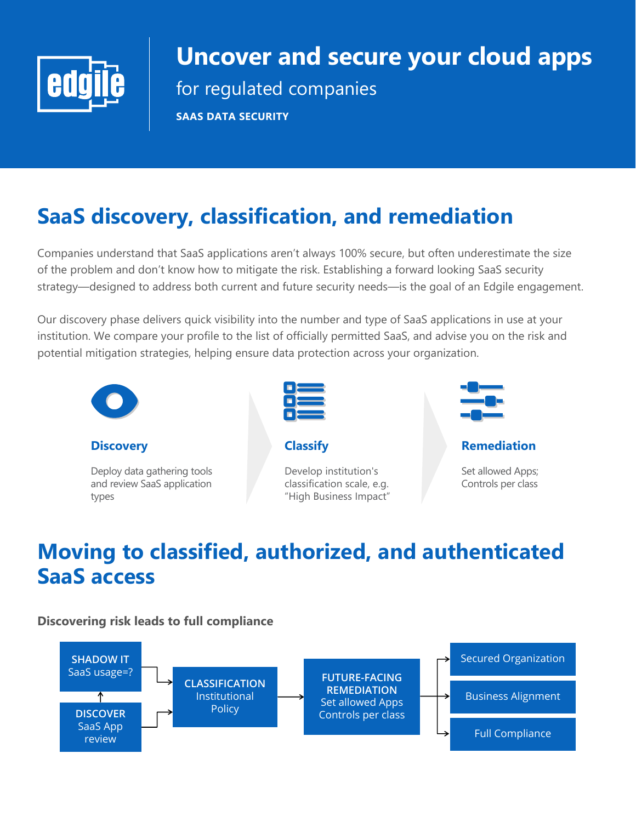

# **Uncover and secure your cloud apps**

for regulated companies

**SAAS DATA SECURITY**

# **SaaS discovery, classification, and remediation**

Companies understand that SaaS applications aren't always 100% secure, but often underestimate the size of the problem and don't know how to mitigate the risk. Establishing a forward looking SaaS security strategy—designed to address both current and future security needs—is the goal of an Edgile engagement.

Our discovery phase delivers quick visibility into the number and type of SaaS applications in use at your institution. We compare your profile to the list of officially permitted SaaS, and advise you on the risk and potential mitigation strategies, helping ensure data protection across your organization.



**Discovery**

Deploy data gathering tools and review SaaS application types



**Classify**

Develop institution's classification scale, e.g. "High Business Impact"



**Remediation**

Set allowed Apps; Controls per class

## **Moving to classified, authorized, and authenticated SaaS access**

**Discovering risk leads to full compliance**